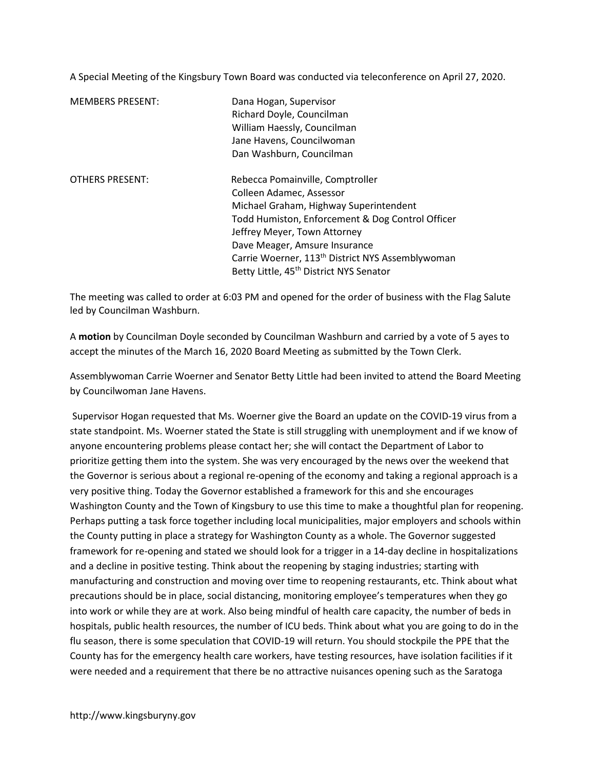A Special Meeting of the Kingsbury Town Board was conducted via teleconference on April 27, 2020.

| <b>MEMBERS PRESENT:</b> | Dana Hogan, Supervisor<br>Richard Doyle, Councilman<br>William Haessly, Councilman<br>Jane Havens, Councilwoman<br>Dan Washburn, Councilman                                                                                                                                                                                                        |
|-------------------------|----------------------------------------------------------------------------------------------------------------------------------------------------------------------------------------------------------------------------------------------------------------------------------------------------------------------------------------------------|
| <b>OTHERS PRESENT:</b>  | Rebecca Pomainville, Comptroller<br>Colleen Adamec, Assessor<br>Michael Graham, Highway Superintendent<br>Todd Humiston, Enforcement & Dog Control Officer<br>Jeffrey Meyer, Town Attorney<br>Dave Meager, Amsure Insurance<br>Carrie Woerner, 113 <sup>th</sup> District NYS Assemblywoman<br>Betty Little, 45 <sup>th</sup> District NYS Senator |

The meeting was called to order at 6:03 PM and opened for the order of business with the Flag Salute led by Councilman Washburn.

A motion by Councilman Doyle seconded by Councilman Washburn and carried by a vote of 5 ayes to accept the minutes of the March 16, 2020 Board Meeting as submitted by the Town Clerk.

Assemblywoman Carrie Woerner and Senator Betty Little had been invited to attend the Board Meeting by Councilwoman Jane Havens.

 Supervisor Hogan requested that Ms. Woerner give the Board an update on the COVID-19 virus from a state standpoint. Ms. Woerner stated the State is still struggling with unemployment and if we know of anyone encountering problems please contact her; she will contact the Department of Labor to prioritize getting them into the system. She was very encouraged by the news over the weekend that the Governor is serious about a regional re-opening of the economy and taking a regional approach is a very positive thing. Today the Governor established a framework for this and she encourages Washington County and the Town of Kingsbury to use this time to make a thoughtful plan for reopening. Perhaps putting a task force together including local municipalities, major employers and schools within the County putting in place a strategy for Washington County as a whole. The Governor suggested framework for re-opening and stated we should look for a trigger in a 14-day decline in hospitalizations and a decline in positive testing. Think about the reopening by staging industries; starting with manufacturing and construction and moving over time to reopening restaurants, etc. Think about what precautions should be in place, social distancing, monitoring employee's temperatures when they go into work or while they are at work. Also being mindful of health care capacity, the number of beds in hospitals, public health resources, the number of ICU beds. Think about what you are going to do in the flu season, there is some speculation that COVID-19 will return. You should stockpile the PPE that the County has for the emergency health care workers, have testing resources, have isolation facilities if it were needed and a requirement that there be no attractive nuisances opening such as the Saratoga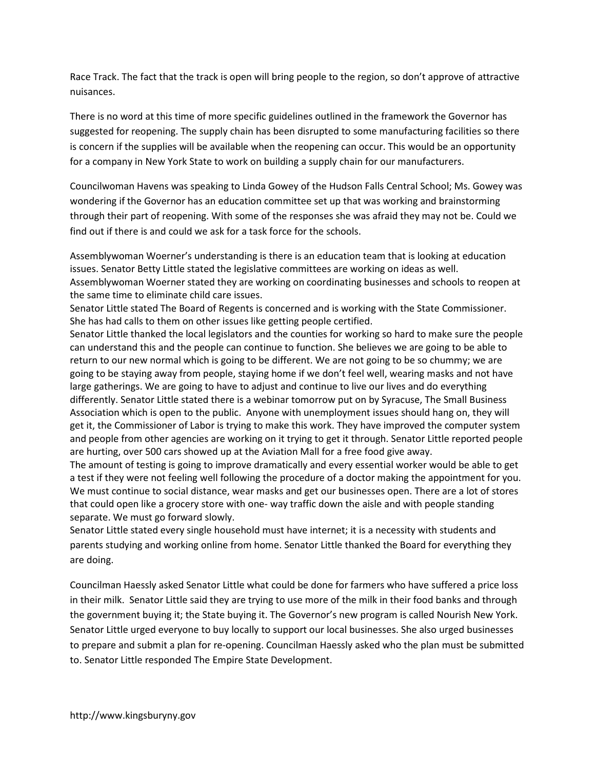Race Track. The fact that the track is open will bring people to the region, so don't approve of attractive nuisances.

There is no word at this time of more specific guidelines outlined in the framework the Governor has suggested for reopening. The supply chain has been disrupted to some manufacturing facilities so there is concern if the supplies will be available when the reopening can occur. This would be an opportunity for a company in New York State to work on building a supply chain for our manufacturers.

Councilwoman Havens was speaking to Linda Gowey of the Hudson Falls Central School; Ms. Gowey was wondering if the Governor has an education committee set up that was working and brainstorming through their part of reopening. With some of the responses she was afraid they may not be. Could we find out if there is and could we ask for a task force for the schools.

Assemblywoman Woerner's understanding is there is an education team that is looking at education issues. Senator Betty Little stated the legislative committees are working on ideas as well. Assemblywoman Woerner stated they are working on coordinating businesses and schools to reopen at the same time to eliminate child care issues.

Senator Little stated The Board of Regents is concerned and is working with the State Commissioner. She has had calls to them on other issues like getting people certified.

Senator Little thanked the local legislators and the counties for working so hard to make sure the people can understand this and the people can continue to function. She believes we are going to be able to return to our new normal which is going to be different. We are not going to be so chummy; we are going to be staying away from people, staying home if we don't feel well, wearing masks and not have large gatherings. We are going to have to adjust and continue to live our lives and do everything differently. Senator Little stated there is a webinar tomorrow put on by Syracuse, The Small Business Association which is open to the public. Anyone with unemployment issues should hang on, they will get it, the Commissioner of Labor is trying to make this work. They have improved the computer system and people from other agencies are working on it trying to get it through. Senator Little reported people are hurting, over 500 cars showed up at the Aviation Mall for a free food give away.

The amount of testing is going to improve dramatically and every essential worker would be able to get a test if they were not feeling well following the procedure of a doctor making the appointment for you. We must continue to social distance, wear masks and get our businesses open. There are a lot of stores that could open like a grocery store with one- way traffic down the aisle and with people standing separate. We must go forward slowly.

Senator Little stated every single household must have internet; it is a necessity with students and parents studying and working online from home. Senator Little thanked the Board for everything they are doing.

Councilman Haessly asked Senator Little what could be done for farmers who have suffered a price loss in their milk. Senator Little said they are trying to use more of the milk in their food banks and through the government buying it; the State buying it. The Governor's new program is called Nourish New York. Senator Little urged everyone to buy locally to support our local businesses. She also urged businesses to prepare and submit a plan for re-opening. Councilman Haessly asked who the plan must be submitted to. Senator Little responded The Empire State Development.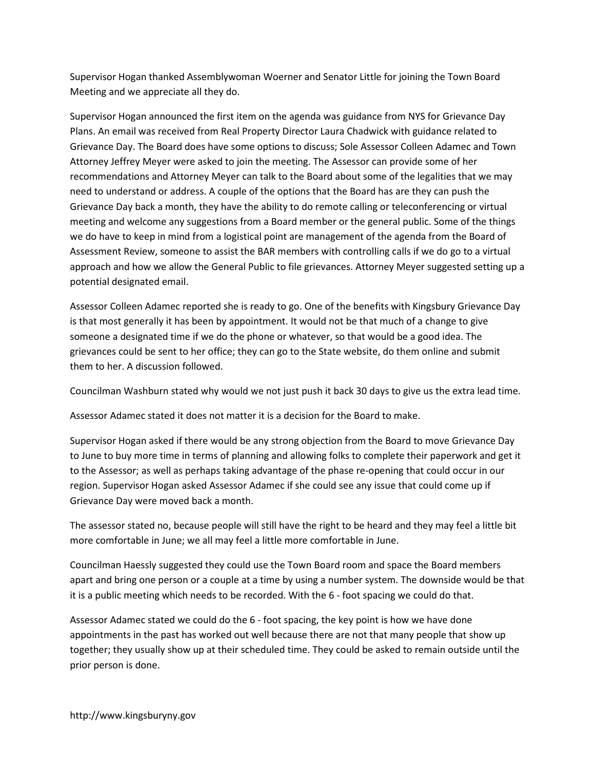Supervisor Hogan thanked Assemblywoman Woerner and Senator Little for joining the Town Board Meeting and we appreciate all they do.

Supervisor Hogan announced the first item on the agenda was guidance from NYS for Grievance Day Plans. An email was received from Real Property Director Laura Chadwick with guidance related to Grievance Day. The Board does have some options to discuss; Sole Assessor Colleen Adamec and Town Attorney Jeffrey Meyer were asked to join the meeting. The Assessor can provide some of her recommendations and Attorney Meyer can talk to the Board about some of the legalities that we may need to understand or address. A couple of the options that the Board has are they can push the Grievance Day back a month, they have the ability to do remote calling or teleconferencing or virtual meeting and welcome any suggestions from a Board member or the general public. Some of the things we do have to keep in mind from a logistical point are management of the agenda from the Board of Assessment Review, someone to assist the BAR members with controlling calls if we do go to a virtual approach and how we allow the General Public to file grievances. Attorney Meyer suggested setting up a potential designated email.

Assessor Colleen Adamec reported she is ready to go. One of the benefits with Kingsbury Grievance Day is that most generally it has been by appointment. It would not be that much of a change to give someone a designated time if we do the phone or whatever, so that would be a good idea. The grievances could be sent to her office; they can go to the State website, do them online and submit them to her. A discussion followed.

Councilman Washburn stated why would we not just push it back 30 days to give us the extra lead time.

Assessor Adamec stated it does not matter it is a decision for the Board to make.

Supervisor Hogan asked if there would be any strong objection from the Board to move Grievance Day to June to buy more time in terms of planning and allowing folks to complete their paperwork and get it to the Assessor; as well as perhaps taking advantage of the phase re-opening that could occur in our region. Supervisor Hogan asked Assessor Adamec if she could see any issue that could come up if Grievance Day were moved back a month.

The assessor stated no, because people will still have the right to be heard and they may feel a little bit more comfortable in June; we all may feel a little more comfortable in June.

Councilman Haessly suggested they could use the Town Board room and space the Board members apart and bring one person or a couple at a time by using a number system. The downside would be that it is a public meeting which needs to be recorded. With the 6 - foot spacing we could do that.

Assessor Adamec stated we could do the 6 - foot spacing, the key point is how we have done appointments in the past has worked out well because there are not that many people that show up together; they usually show up at their scheduled time. They could be asked to remain outside until the prior person is done.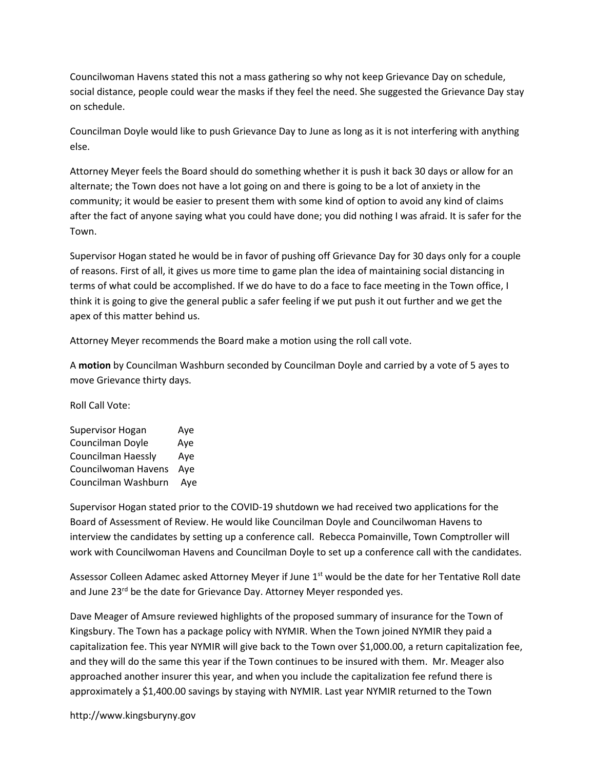Councilwoman Havens stated this not a mass gathering so why not keep Grievance Day on schedule, social distance, people could wear the masks if they feel the need. She suggested the Grievance Day stay on schedule.

Councilman Doyle would like to push Grievance Day to June as long as it is not interfering with anything else.

Attorney Meyer feels the Board should do something whether it is push it back 30 days or allow for an alternate; the Town does not have a lot going on and there is going to be a lot of anxiety in the community; it would be easier to present them with some kind of option to avoid any kind of claims after the fact of anyone saying what you could have done; you did nothing I was afraid. It is safer for the Town.

Supervisor Hogan stated he would be in favor of pushing off Grievance Day for 30 days only for a couple of reasons. First of all, it gives us more time to game plan the idea of maintaining social distancing in terms of what could be accomplished. If we do have to do a face to face meeting in the Town office, I think it is going to give the general public a safer feeling if we put push it out further and we get the apex of this matter behind us.

Attorney Meyer recommends the Board make a motion using the roll call vote.

A motion by Councilman Washburn seconded by Councilman Doyle and carried by a vote of 5 ayes to move Grievance thirty days.

Roll Call Vote:

| Supervisor Hogan    | Aye |
|---------------------|-----|
| Councilman Doyle    | Aye |
| Councilman Haessly  | Aye |
| Councilwoman Havens | Aye |
| Councilman Washburn | Aye |

Supervisor Hogan stated prior to the COVID-19 shutdown we had received two applications for the Board of Assessment of Review. He would like Councilman Doyle and Councilwoman Havens to interview the candidates by setting up a conference call. Rebecca Pomainville, Town Comptroller will work with Councilwoman Havens and Councilman Doyle to set up a conference call with the candidates.

Assessor Colleen Adamec asked Attorney Meyer if June 1<sup>st</sup> would be the date for her Tentative Roll date and June 23<sup>rd</sup> be the date for Grievance Day. Attorney Meyer responded yes.

Dave Meager of Amsure reviewed highlights of the proposed summary of insurance for the Town of Kingsbury. The Town has a package policy with NYMIR. When the Town joined NYMIR they paid a capitalization fee. This year NYMIR will give back to the Town over \$1,000.00, a return capitalization fee, and they will do the same this year if the Town continues to be insured with them. Mr. Meager also approached another insurer this year, and when you include the capitalization fee refund there is approximately a \$1,400.00 savings by staying with NYMIR. Last year NYMIR returned to the Town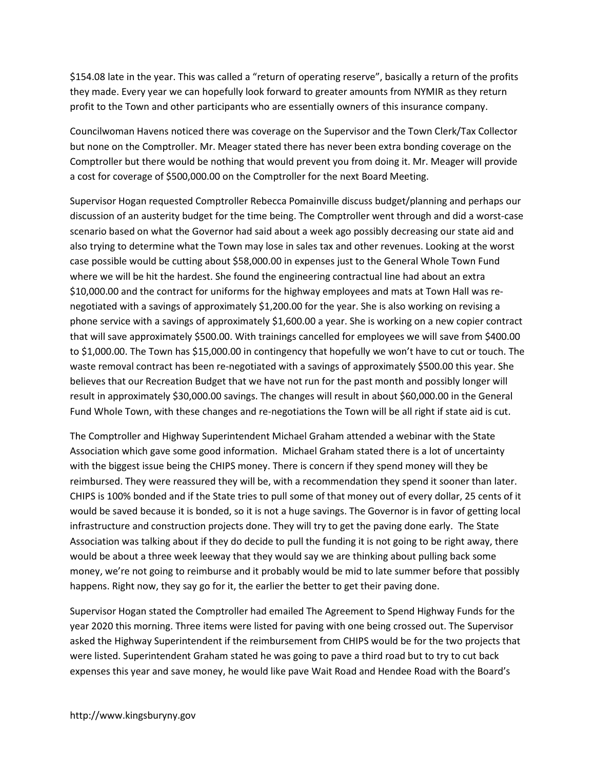\$154.08 late in the year. This was called a "return of operating reserve", basically a return of the profits they made. Every year we can hopefully look forward to greater amounts from NYMIR as they return profit to the Town and other participants who are essentially owners of this insurance company.

Councilwoman Havens noticed there was coverage on the Supervisor and the Town Clerk/Tax Collector but none on the Comptroller. Mr. Meager stated there has never been extra bonding coverage on the Comptroller but there would be nothing that would prevent you from doing it. Mr. Meager will provide a cost for coverage of \$500,000.00 on the Comptroller for the next Board Meeting.

Supervisor Hogan requested Comptroller Rebecca Pomainville discuss budget/planning and perhaps our discussion of an austerity budget for the time being. The Comptroller went through and did a worst-case scenario based on what the Governor had said about a week ago possibly decreasing our state aid and also trying to determine what the Town may lose in sales tax and other revenues. Looking at the worst case possible would be cutting about \$58,000.00 in expenses just to the General Whole Town Fund where we will be hit the hardest. She found the engineering contractual line had about an extra \$10,000.00 and the contract for uniforms for the highway employees and mats at Town Hall was renegotiated with a savings of approximately \$1,200.00 for the year. She is also working on revising a phone service with a savings of approximately \$1,600.00 a year. She is working on a new copier contract that will save approximately \$500.00. With trainings cancelled for employees we will save from \$400.00 to \$1,000.00. The Town has \$15,000.00 in contingency that hopefully we won't have to cut or touch. The waste removal contract has been re-negotiated with a savings of approximately \$500.00 this year. She believes that our Recreation Budget that we have not run for the past month and possibly longer will result in approximately \$30,000.00 savings. The changes will result in about \$60,000.00 in the General Fund Whole Town, with these changes and re-negotiations the Town will be all right if state aid is cut.

The Comptroller and Highway Superintendent Michael Graham attended a webinar with the State Association which gave some good information. Michael Graham stated there is a lot of uncertainty with the biggest issue being the CHIPS money. There is concern if they spend money will they be reimbursed. They were reassured they will be, with a recommendation they spend it sooner than later. CHIPS is 100% bonded and if the State tries to pull some of that money out of every dollar, 25 cents of it would be saved because it is bonded, so it is not a huge savings. The Governor is in favor of getting local infrastructure and construction projects done. They will try to get the paving done early. The State Association was talking about if they do decide to pull the funding it is not going to be right away, there would be about a three week leeway that they would say we are thinking about pulling back some money, we're not going to reimburse and it probably would be mid to late summer before that possibly happens. Right now, they say go for it, the earlier the better to get their paving done.

Supervisor Hogan stated the Comptroller had emailed The Agreement to Spend Highway Funds for the year 2020 this morning. Three items were listed for paving with one being crossed out. The Supervisor asked the Highway Superintendent if the reimbursement from CHIPS would be for the two projects that were listed. Superintendent Graham stated he was going to pave a third road but to try to cut back expenses this year and save money, he would like pave Wait Road and Hendee Road with the Board's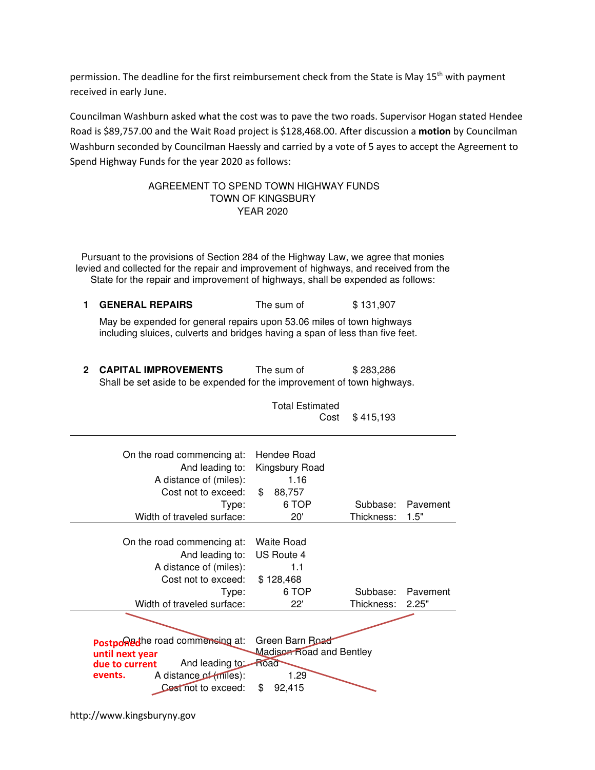permission. The deadline for the first reimbursement check from the State is May 15<sup>th</sup> with payment received in early June.

Councilman Washburn asked what the cost was to pave the two roads. Supervisor Hogan stated Hendee Road is \$89,757.00 and the Wait Road project is \$128,468.00. After discussion a motion by Councilman Washburn seconded by Councilman Haessly and carried by a vote of 5 ayes to accept the Agreement to Spend Highway Funds for the year 2020 as follows:

## AGREEMENT TO SPEND TOWN HIGHWAY FUNDS TOWN OF KINGSBURY YEAR 2020

Pursuant to the provisions of Section 284 of the Highway Law, we agree that monies levied and collected for the repair and improvement of highways, and received from the State for the repair and improvement of highways, shall be expended as follows:

1 **GENERAL REPAIRS** The sum of \$131,907

May be expended for general repairs upon 53.06 miles of town highways including sluices, culverts and bridges having a span of less than five feet.

2 **CAPITAL IMPROVEMENTS** The sum of \$283,286 Shall be set aside to be expended for the improvement of town highways.

> Total Estimated Cost \$ 415,193

| On the road commencing at:<br>And leading to:<br>A distance of (miles):<br>Cost not to exceed:<br>Type:<br>Width of traveled surface:                                                                                               | Hendee Road<br>Kingsbury Road<br>1.16<br>\$<br>88,757<br>6 TOP<br>20' | Subbase:<br>Thickness: | Pavement<br>1.5"  |
|-------------------------------------------------------------------------------------------------------------------------------------------------------------------------------------------------------------------------------------|-----------------------------------------------------------------------|------------------------|-------------------|
| On the road commencing at:<br>And leading to:<br>A distance of (miles):<br>Cost not to exceed:<br>Type:<br>Width of traveled surface:                                                                                               | Waite Road<br>US Route 4<br>1.1<br>\$128,468<br>6 TOP<br>22'          | Subbase:<br>Thickness: | Pavement<br>2.25" |
| Green Barn Road<br>Postponed he road commensing at:<br>Madison Road and Bentley<br>until next year<br>Road<br>And leading to:<br>due to current<br>A distance of (miles):<br>1.29<br>events.<br>\$<br>Cest not to exceed:<br>92,415 |                                                                       |                        |                   |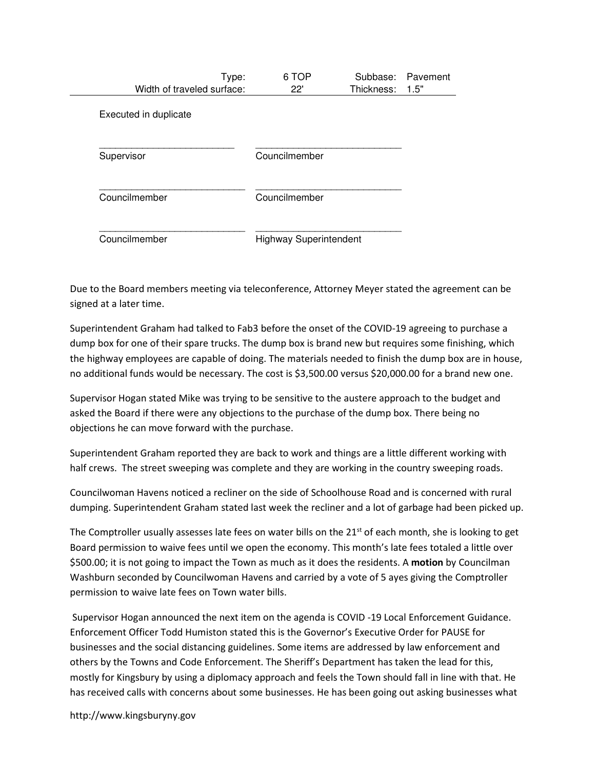| Type:<br>Width of traveled surface: | 6 TOP<br>22'                  | Subbase:<br>Thickness: | Pavement<br>1.5" |
|-------------------------------------|-------------------------------|------------------------|------------------|
| Executed in duplicate               |                               |                        |                  |
| Supervisor                          | Councilmember                 |                        |                  |
| Councilmember                       | Councilmember                 |                        |                  |
| Councilmember                       | <b>Highway Superintendent</b> |                        |                  |

Due to the Board members meeting via teleconference, Attorney Meyer stated the agreement can be signed at a later time.

Superintendent Graham had talked to Fab3 before the onset of the COVID-19 agreeing to purchase a dump box for one of their spare trucks. The dump box is brand new but requires some finishing, which the highway employees are capable of doing. The materials needed to finish the dump box are in house, no additional funds would be necessary. The cost is \$3,500.00 versus \$20,000.00 for a brand new one.

Supervisor Hogan stated Mike was trying to be sensitive to the austere approach to the budget and asked the Board if there were any objections to the purchase of the dump box. There being no objections he can move forward with the purchase.

Superintendent Graham reported they are back to work and things are a little different working with half crews. The street sweeping was complete and they are working in the country sweeping roads.

Councilwoman Havens noticed a recliner on the side of Schoolhouse Road and is concerned with rural dumping. Superintendent Graham stated last week the recliner and a lot of garbage had been picked up.

The Comptroller usually assesses late fees on water bills on the  $21<sup>st</sup>$  of each month, she is looking to get Board permission to waive fees until we open the economy. This month's late fees totaled a little over \$500.00; it is not going to impact the Town as much as it does the residents. A motion by Councilman Washburn seconded by Councilwoman Havens and carried by a vote of 5 ayes giving the Comptroller permission to waive late fees on Town water bills.

 Supervisor Hogan announced the next item on the agenda is COVID -19 Local Enforcement Guidance. Enforcement Officer Todd Humiston stated this is the Governor's Executive Order for PAUSE for businesses and the social distancing guidelines. Some items are addressed by law enforcement and others by the Towns and Code Enforcement. The Sheriff's Department has taken the lead for this, mostly for Kingsbury by using a diplomacy approach and feels the Town should fall in line with that. He has received calls with concerns about some businesses. He has been going out asking businesses what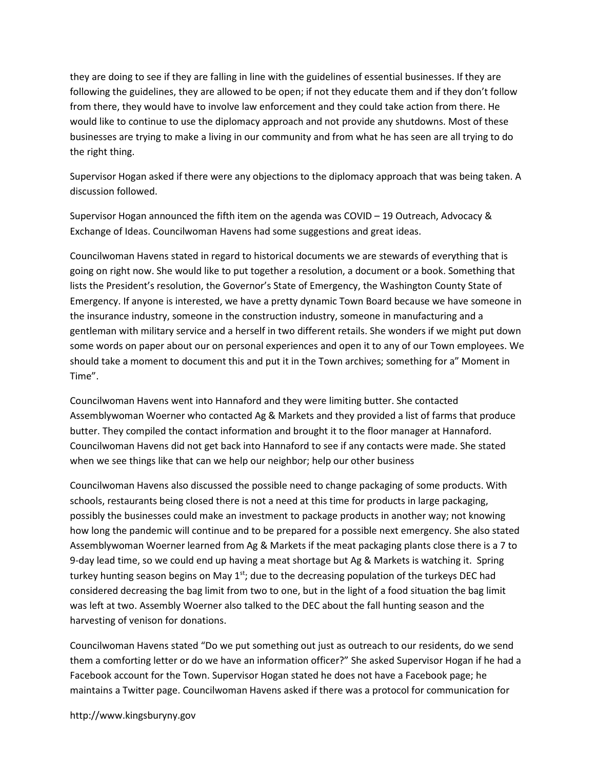they are doing to see if they are falling in line with the guidelines of essential businesses. If they are following the guidelines, they are allowed to be open; if not they educate them and if they don't follow from there, they would have to involve law enforcement and they could take action from there. He would like to continue to use the diplomacy approach and not provide any shutdowns. Most of these businesses are trying to make a living in our community and from what he has seen are all trying to do the right thing.

Supervisor Hogan asked if there were any objections to the diplomacy approach that was being taken. A discussion followed.

Supervisor Hogan announced the fifth item on the agenda was COVID – 19 Outreach, Advocacy & Exchange of Ideas. Councilwoman Havens had some suggestions and great ideas.

Councilwoman Havens stated in regard to historical documents we are stewards of everything that is going on right now. She would like to put together a resolution, a document or a book. Something that lists the President's resolution, the Governor's State of Emergency, the Washington County State of Emergency. If anyone is interested, we have a pretty dynamic Town Board because we have someone in the insurance industry, someone in the construction industry, someone in manufacturing and a gentleman with military service and a herself in two different retails. She wonders if we might put down some words on paper about our on personal experiences and open it to any of our Town employees. We should take a moment to document this and put it in the Town archives; something for a" Moment in Time".

Councilwoman Havens went into Hannaford and they were limiting butter. She contacted Assemblywoman Woerner who contacted Ag & Markets and they provided a list of farms that produce butter. They compiled the contact information and brought it to the floor manager at Hannaford. Councilwoman Havens did not get back into Hannaford to see if any contacts were made. She stated when we see things like that can we help our neighbor; help our other business

Councilwoman Havens also discussed the possible need to change packaging of some products. With schools, restaurants being closed there is not a need at this time for products in large packaging, possibly the businesses could make an investment to package products in another way; not knowing how long the pandemic will continue and to be prepared for a possible next emergency. She also stated Assemblywoman Woerner learned from Ag & Markets if the meat packaging plants close there is a 7 to 9-day lead time, so we could end up having a meat shortage but Ag & Markets is watching it. Spring turkey hunting season begins on May  $1<sup>st</sup>$ ; due to the decreasing population of the turkeys DEC had considered decreasing the bag limit from two to one, but in the light of a food situation the bag limit was left at two. Assembly Woerner also talked to the DEC about the fall hunting season and the harvesting of venison for donations.

Councilwoman Havens stated "Do we put something out just as outreach to our residents, do we send them a comforting letter or do we have an information officer?" She asked Supervisor Hogan if he had a Facebook account for the Town. Supervisor Hogan stated he does not have a Facebook page; he maintains a Twitter page. Councilwoman Havens asked if there was a protocol for communication for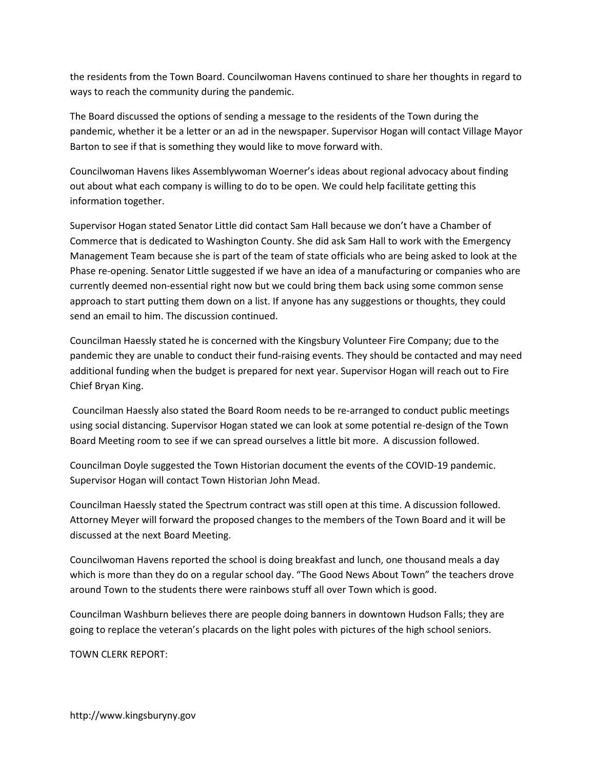the residents from the Town Board. Councilwoman Havens continued to share her thoughts in regard to ways to reach the community during the pandemic.

The Board discussed the options of sending a message to the residents of the Town during the pandemic, whether it be a letter or an ad in the newspaper. Supervisor Hogan will contact Village Mayor Barton to see if that is something they would like to move forward with.

Councilwoman Havens likes Assemblywoman Woerner's ideas about regional advocacy about finding out about what each company is willing to do to be open. We could help facilitate getting this information together.

Supervisor Hogan stated Senator Little did contact Sam Hall because we don't have a Chamber of Commerce that is dedicated to Washington County. She did ask Sam Hall to work with the Emergency Management Team because she is part of the team of state officials who are being asked to look at the Phase re-opening. Senator Little suggested if we have an idea of a manufacturing or companies who are currently deemed non-essential right now but we could bring them back using some common sense approach to start putting them down on a list. If anyone has any suggestions or thoughts, they could send an email to him. The discussion continued.

Councilman Haessly stated he is concerned with the Kingsbury Volunteer Fire Company; due to the pandemic they are unable to conduct their fund-raising events. They should be contacted and may need additional funding when the budget is prepared for next year. Supervisor Hogan will reach out to Fire Chief Bryan King.

 Councilman Haessly also stated the Board Room needs to be re-arranged to conduct public meetings using social distancing. Supervisor Hogan stated we can look at some potential re-design of the Town Board Meeting room to see if we can spread ourselves a little bit more. A discussion followed.

Councilman Doyle suggested the Town Historian document the events of the COVID-19 pandemic. Supervisor Hogan will contact Town Historian John Mead.

Councilman Haessly stated the Spectrum contract was still open at this time. A discussion followed. Attorney Meyer will forward the proposed changes to the members of the Town Board and it will be discussed at the next Board Meeting.

Councilwoman Havens reported the school is doing breakfast and lunch, one thousand meals a day which is more than they do on a regular school day. "The Good News About Town" the teachers drove around Town to the students there were rainbows stuff all over Town which is good.

Councilman Washburn believes there are people doing banners in downtown Hudson Falls; they are going to replace the veteran's placards on the light poles with pictures of the high school seniors.

TOWN CLERK REPORT: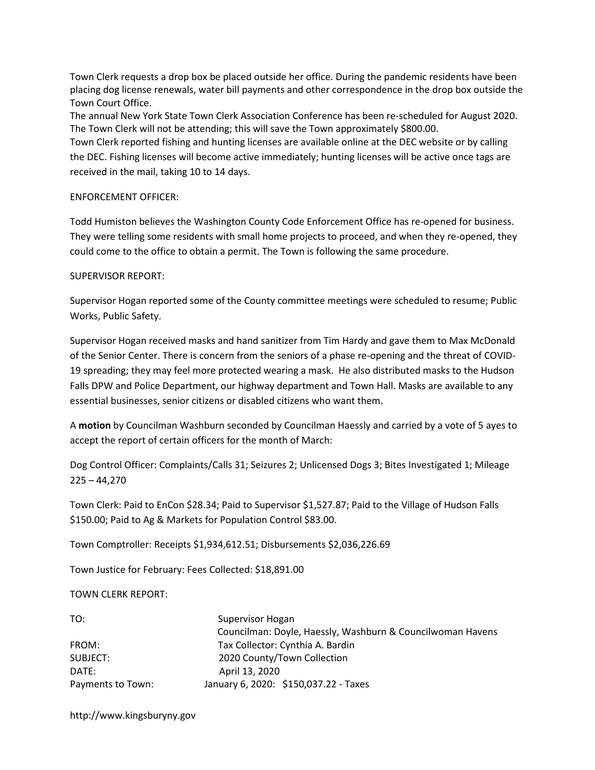Town Clerk requests a drop box be placed outside her office. During the pandemic residents have been placing dog license renewals, water bill payments and other correspondence in the drop box outside the Town Court Office.

The annual New York State Town Clerk Association Conference has been re-scheduled for August 2020. The Town Clerk will not be attending; this will save the Town approximately \$800.00.

Town Clerk reported fishing and hunting licenses are available online at the DEC website or by calling the DEC. Fishing licenses will become active immediately; hunting licenses will be active once tags are received in the mail, taking 10 to 14 days.

## ENFORCEMENT OFFICER:

Todd Humiston believes the Washington County Code Enforcement Office has re-opened for business. They were telling some residents with small home projects to proceed, and when they re-opened, they could come to the office to obtain a permit. The Town is following the same procedure.

## SUPERVISOR REPORT:

Supervisor Hogan reported some of the County committee meetings were scheduled to resume; Public Works, Public Safety.

Supervisor Hogan received masks and hand sanitizer from Tim Hardy and gave them to Max McDonald of the Senior Center. There is concern from the seniors of a phase re-opening and the threat of COVID-19 spreading; they may feel more protected wearing a mask. He also distributed masks to the Hudson Falls DPW and Police Department, our highway department and Town Hall. Masks are available to any essential businesses, senior citizens or disabled citizens who want them.

A motion by Councilman Washburn seconded by Councilman Haessly and carried by a vote of 5 ayes to accept the report of certain officers for the month of March:

Dog Control Officer: Complaints/Calls 31; Seizures 2; Unlicensed Dogs 3; Bites Investigated 1; Mileage  $225 - 44,270$ 

Town Clerk: Paid to EnCon \$28.34; Paid to Supervisor \$1,527.87; Paid to the Village of Hudson Falls \$150.00; Paid to Ag & Markets for Population Control \$83.00.

Town Comptroller: Receipts \$1,934,612.51; Disbursements \$2,036,226.69

Town Justice for February: Fees Collected: \$18,891.00

TOWN CLERK REPORT:

| TO:               | Supervisor Hogan                                           |
|-------------------|------------------------------------------------------------|
|                   | Councilman: Doyle, Haessly, Washburn & Councilwoman Havens |
| FROM:             | Tax Collector: Cynthia A. Bardin                           |
| SUBJECT:          | 2020 County/Town Collection                                |
| DATE:             | April 13, 2020                                             |
| Payments to Town: | January 6, 2020: \$150,037.22 - Taxes                      |